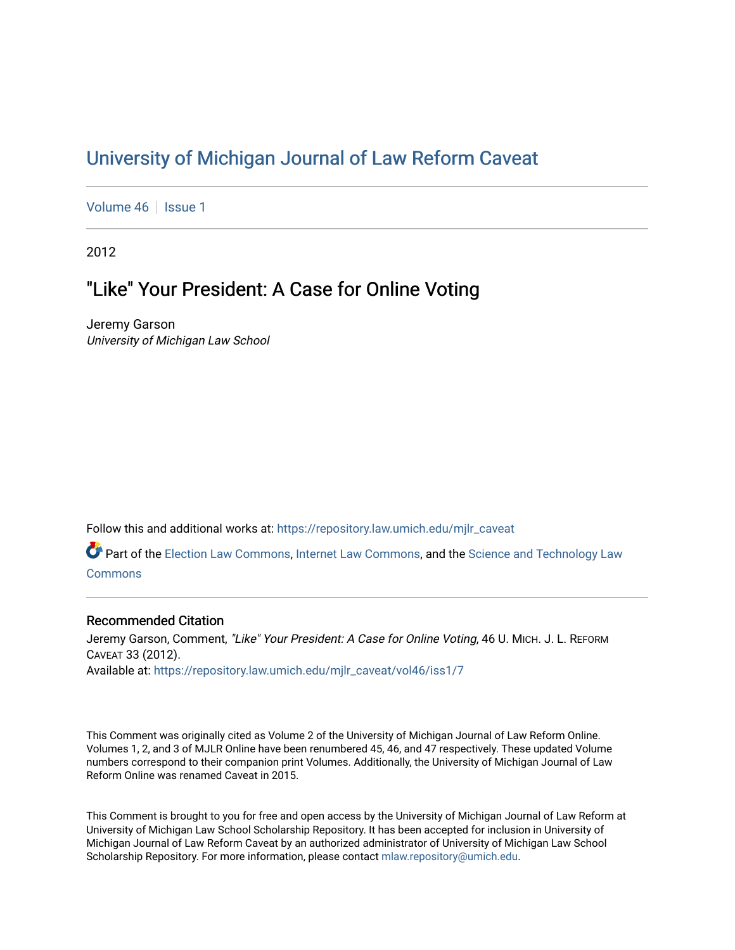## [University of Michigan Journal of Law Reform Caveat](https://repository.law.umich.edu/mjlr_caveat)

[Volume 46](https://repository.law.umich.edu/mjlr_caveat/vol46) | [Issue 1](https://repository.law.umich.edu/mjlr_caveat/vol46/iss1)

2012

## "Like" Your President: A Case for Online Voting

Jeremy Garson University of Michigan Law School

Follow this and additional works at: [https://repository.law.umich.edu/mjlr\\_caveat](https://repository.law.umich.edu/mjlr_caveat?utm_source=repository.law.umich.edu%2Fmjlr_caveat%2Fvol46%2Fiss1%2F7&utm_medium=PDF&utm_campaign=PDFCoverPages) 

Part of the [Election Law Commons](http://network.bepress.com/hgg/discipline/1121?utm_source=repository.law.umich.edu%2Fmjlr_caveat%2Fvol46%2Fiss1%2F7&utm_medium=PDF&utm_campaign=PDFCoverPages), [Internet Law Commons](http://network.bepress.com/hgg/discipline/892?utm_source=repository.law.umich.edu%2Fmjlr_caveat%2Fvol46%2Fiss1%2F7&utm_medium=PDF&utm_campaign=PDFCoverPages), and the [Science and Technology Law](http://network.bepress.com/hgg/discipline/875?utm_source=repository.law.umich.edu%2Fmjlr_caveat%2Fvol46%2Fiss1%2F7&utm_medium=PDF&utm_campaign=PDFCoverPages)  [Commons](http://network.bepress.com/hgg/discipline/875?utm_source=repository.law.umich.edu%2Fmjlr_caveat%2Fvol46%2Fiss1%2F7&utm_medium=PDF&utm_campaign=PDFCoverPages)

### Recommended Citation

Jeremy Garson, Comment, "Like" Your President: A Case for Online Voting, 46 U. MICH. J. L. REFORM CAVEAT 33 (2012). Available at: [https://repository.law.umich.edu/mjlr\\_caveat/vol46/iss1/7](https://repository.law.umich.edu/mjlr_caveat/vol46/iss1/7?utm_source=repository.law.umich.edu%2Fmjlr_caveat%2Fvol46%2Fiss1%2F7&utm_medium=PDF&utm_campaign=PDFCoverPages) 

This Comment was originally cited as Volume 2 of the University of Michigan Journal of Law Reform Online. Volumes 1, 2, and 3 of MJLR Online have been renumbered 45, 46, and 47 respectively. These updated Volume numbers correspond to their companion print Volumes. Additionally, the University of Michigan Journal of Law Reform Online was renamed Caveat in 2015.

This Comment is brought to you for free and open access by the University of Michigan Journal of Law Reform at University of Michigan Law School Scholarship Repository. It has been accepted for inclusion in University of Michigan Journal of Law Reform Caveat by an authorized administrator of University of Michigan Law School Scholarship Repository. For more information, please contact [mlaw.repository@umich.edu.](mailto:mlaw.repository@umich.edu)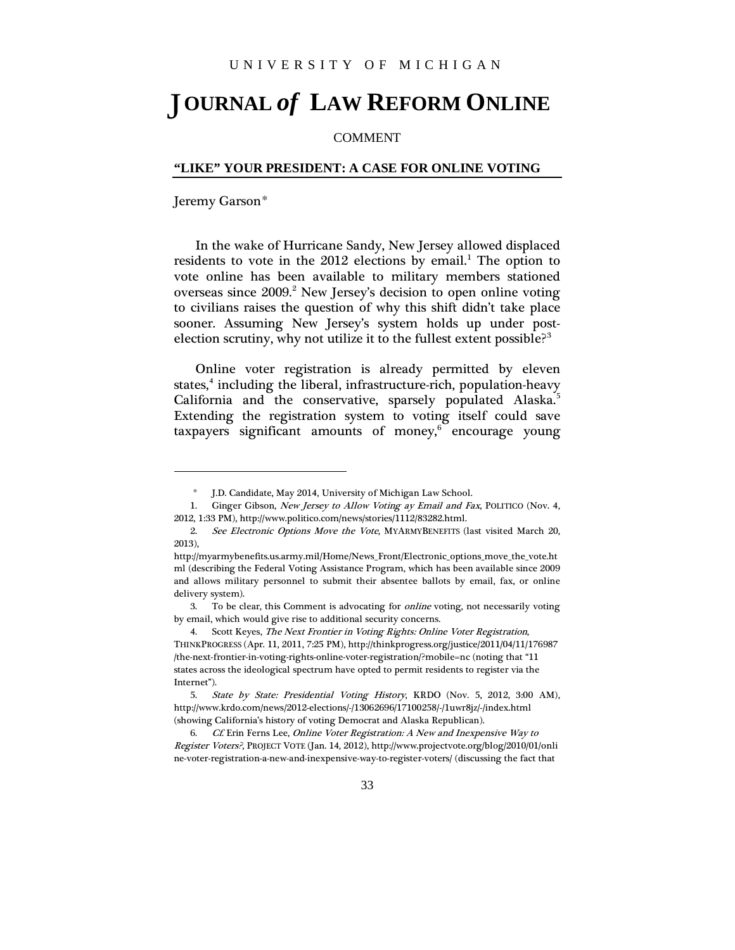# **OURNAL** *of* **LAW REFORM ONLINE** J

### COMMENT

#### **"LIKE" YOUR PRESIDENT: A CASE FOR ONLINE VOTING**

Jeremy Garson[\\*](#page-1-0)

In the wake of Hurricane Sandy, New Jersey allowed displaced residents to vote in the  $2012$  $2012$  $2012$  elections by email.<sup>1</sup> The option to vote online has been available to military members stationed overseas since [2](#page-1-2)009.<sup>2</sup> New Jersey's decision to open online voting to civilians raises the question of why this shift didn't take place sooner. Assuming New Jersey's system holds up under postelection scrutiny, why not utilize it to the fullest extent possible? $3$ 

Online voter registration is already permitted by eleven states,<sup>[4](#page-1-4)</sup> including the liberal, infrastructure-rich, population-heavy California and the conservative, sparsely populated Alaska.<sup>[5](#page-1-5)</sup> Extending the registration system to voting itself could save taxpayers significant amounts of money,<sup>[6](#page-1-6)</sup> encourage young

<sup>\*</sup> J.D. Candidate, May 2014, University of Michigan Law School.

<span id="page-1-1"></span><span id="page-1-0"></span><sup>1.</sup> Ginger Gibson, New Jersey to Allow Voting ay Email and Fax, POLITICO (Nov. 4, 2012, 1:33 PM), http://www.politico.com/news/stories/1112/83282.html.

<span id="page-1-2"></span><sup>2.</sup> See Electronic Options Move the Vote, MYARMYBENEFITS (last visited March 20, 2013),

http://myarmybenefits.us.army.mil/Home/News\_Front/Electronic\_options\_move\_the\_vote.ht ml (describing the Federal Voting Assistance Program, which has been available since 2009 and allows military personnel to submit their absentee ballots by email, fax, or online delivery system).

<span id="page-1-3"></span><sup>3.</sup> To be clear, this Comment is advocating for online voting, not necessarily voting by email, which would give rise to additional security concerns.

<span id="page-1-4"></span><sup>4.</sup> Scott Keyes, The Next Frontier in Voting Rights: Online Voter Registration, THINKPROGRESS (Apr. 11, 2011, 7:25 PM), http://thinkprogress.org/justice/2011/04/11/176987 /the-next-frontier-in-voting-rights-online-voter-registration/?mobile=nc (noting that "11 states across the ideological spectrum have opted to permit residents to register via the Internet").

<span id="page-1-5"></span><sup>5.</sup> State by State: Presidential Voting History, KRDO (Nov. 5, 2012, 3:00 AM), http://www.krdo.com/news/2012-elections/-/13062696/17100258/-/1uwr8jz/-/index.html (showing California's history of voting Democrat and Alaska Republican).

<span id="page-1-6"></span>Cf. Erin Ferns Lee, Online Voter Registration: A New and Inexpensive Way to Register Voters?, PROJECT VOTE (Jan. 14, 2012), http://www.projectvote.org/blog/2010/01/onli ne-voter-registration-a-new-and-inexpensive-way-to-register-voters/ (discussing the fact that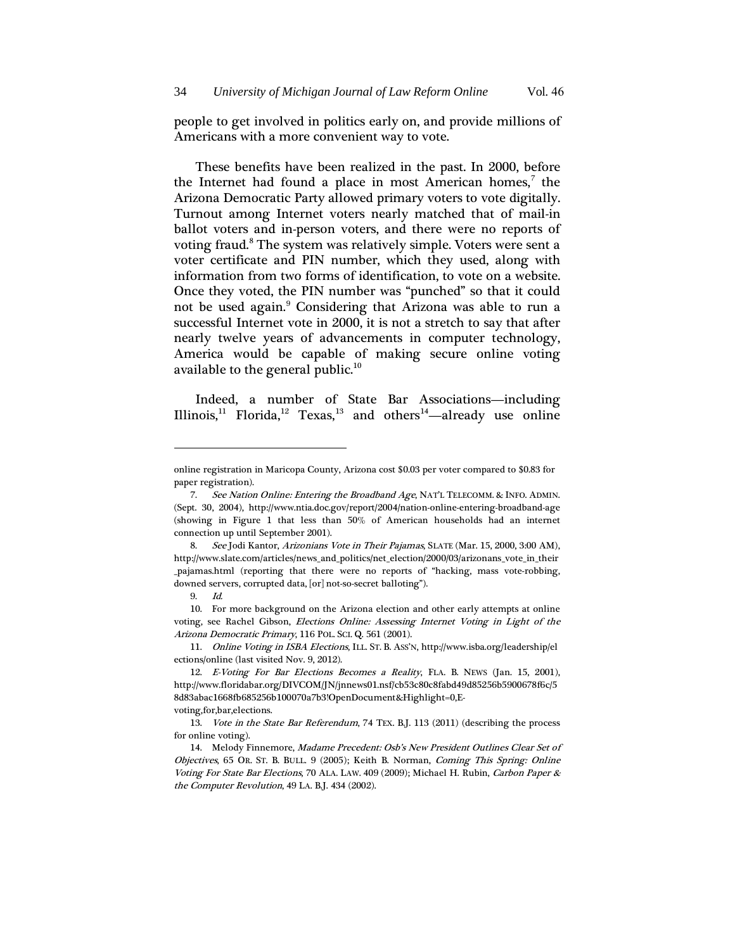people to get involved in politics early on, and provide millions of Americans with a more convenient way to vote.

These benefits have been realized in the past. In 2000, before the Internet had found a place in most American homes,<sup>[7](#page-2-0)</sup> the Arizona Democratic Party allowed primary voters to vote digitally. Turnout among Internet voters nearly matched that of mail-in ballot voters and in-person voters, and there were no reports of voting fraud.<sup>[8](#page-2-1)</sup> The system was relatively simple. Voters were sent a voter certificate and PIN number, which they used, along with information from two forms of identification, to vote on a website. Once they voted, the PIN number was "punched" so that it could not be used again.<sup>[9](#page-2-2)</sup> Considering that Arizona was able to run a successful Internet vote in 2000, it is not a stretch to say that after nearly twelve years of advancements in computer technology, America would be capable of making secure online voting available to the general public.<sup>[10](#page-2-3)</sup>

Indeed, a number of State Bar Associations—including Illinois,<sup>[11](#page-2-4)</sup> Florida,<sup>[12](#page-2-5)</sup> Texas,<sup>[13](#page-2-6)</sup> and others<sup>[14](#page-2-7)</sup>—already use online

<span id="page-2-3"></span><span id="page-2-2"></span>10. For more background on the Arizona election and other early attempts at online voting, see Rachel Gibson, Elections Online: Assessing Internet Voting in Light of the Arizona Democratic Primary, 116 POL. SCI. Q. 561 (2001).

<span id="page-2-4"></span>11. Online Voting in ISBA Elections, ILL. ST. B. ASS'N, http://www.isba.org/leadership/el ections/online (last visited Nov. 9, 2012).

online registration in Maricopa County, Arizona cost \$0.03 per voter compared to \$0.83 for paper registration).

<span id="page-2-0"></span><sup>7.</sup> See Nation Online: Entering the Broadband Age, NAT'L TELECOMM. & INFO. ADMIN. (Sept. 30, 2004), http://www.ntia.doc.gov/report/2004/nation-online-entering-broadband-age (showing in Figure 1 that less than 50% of American households had an internet connection up until September 2001).

<span id="page-2-1"></span><sup>8.</sup> See Jodi Kantor, Arizonians Vote in Their Pajamas, SLATE (Mar. 15, 2000, 3:00 AM), http://www.slate.com/articles/news\_and\_politics/net\_election/2000/03/arizonans\_vote\_in\_their \_pajamas.html (reporting that there were no reports of "hacking, mass vote-robbing, downed servers, corrupted data, [or] not-so-secret balloting").

<sup>9.</sup> Id.

<span id="page-2-5"></span><sup>12.</sup> E-Voting For Bar Elections Becomes a Reality, FLA. B. NEWS (Jan. 15, 2001), http://www.floridabar.org/DIVCOM/JN/jnnews01.nsf/cb53c80c8fabd49d85256b5900678f6c/5 8d83abac1668fb685256b100070a7b3!OpenDocument&Highlight=0,Evoting,for,bar,elections.

<span id="page-2-6"></span><sup>13.</sup> Vote in the State Bar Referendum, 74 TEX. B.J. 113 (2011) (describing the process for online voting).

<span id="page-2-7"></span><sup>14.</sup> Melody Finnemore, Madame Precedent: Osb's New President Outlines Clear Set of Objectives, 65 OR. ST. B. BULL. 9 (2005); Keith B. Norman, Coming This Spring: Online Voting For State Bar Elections, 70 ALA. LAW. 409 (2009); Michael H. Rubin, Carbon Paper & the Computer Revolution, 49 LA. B.J. 434 (2002).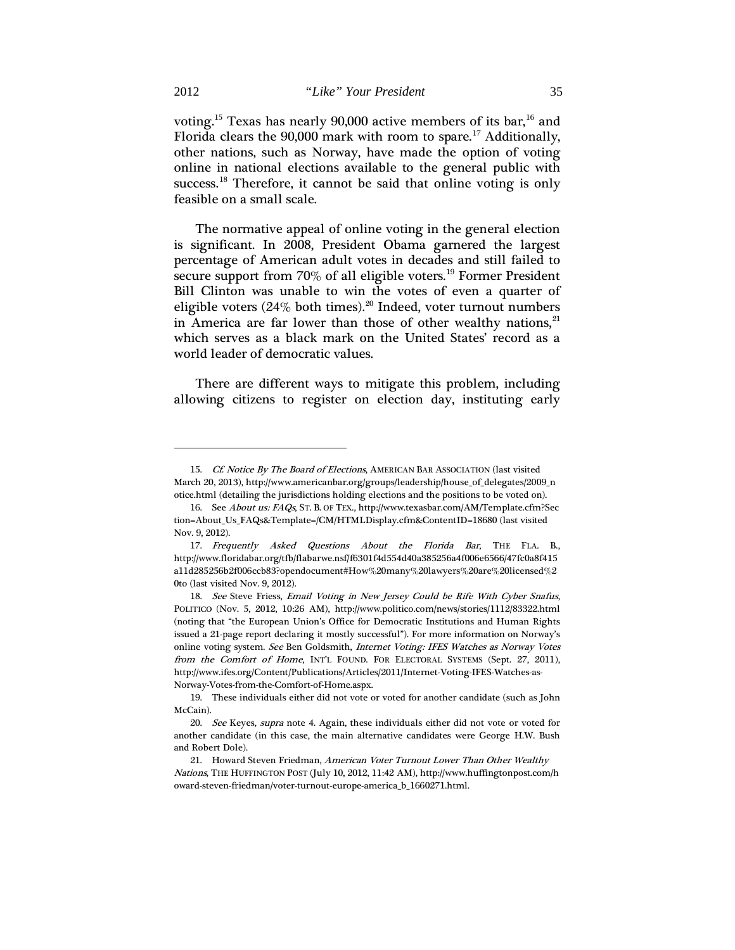voting.<sup>[15](#page-3-0)</sup> Texas has nearly 90,000 active members of its bar,<sup>[16](#page-3-1)</sup> and Florida clears the 90,000 mark with room to spare.<sup>[17](#page-3-2)</sup> Additionally, other nations, such as Norway, have made the option of voting online in national elections available to the general public with success.<sup>[18](#page-3-3)</sup> Therefore, it cannot be said that online voting is only feasible on a small scale.

The normative appeal of online voting in the general election is significant. In 2008, President Obama garnered the largest percentage of American adult votes in decades and still failed to secure support from 70% of all eligible voters.<sup>[19](#page-3-4)</sup> Former President Bill Clinton was unable to win the votes of even a quarter of eligible voters (24% both times).<sup>[20](#page-3-5)</sup> Indeed, voter turnout numbers in America are far lower than those of other wealthy nations,<sup>[21](#page-3-6)</sup> which serves as a black mark on the United States' record as a world leader of democratic values.

There are different ways to mitigate this problem, including allowing citizens to register on election day, instituting early

<span id="page-3-0"></span><sup>15.</sup> Cf. Notice By The Board of Elections, AMERICAN BAR ASSOCIATION (last visited March 20, 2013), http://www.americanbar.org/groups/leadership/house\_of\_delegates/2009\_n otice.html (detailing the jurisdictions holding elections and the positions to be voted on).

<span id="page-3-1"></span><sup>16.</sup> See About us: FAQs, ST. B. OF TEX., http://www.texasbar.com/AM/Template.cfm?Sec tion=About\_Us\_FAQs&Template=/CM/HTMLDisplay.cfm&ContentID=18680 (last visited Nov. 9, 2012).

<span id="page-3-2"></span><sup>17.</sup> Frequently Asked Questions About the Florida Bar, THE FLA. B., http://www.floridabar.org/tfb/flabarwe.nsf/f6301f4d554d40a385256a4f006e6566/47fc0a8f415 a11d285256b2f006ccb83?opendocument#How%20many%20lawyers%20are%20licensed%2 0to (last visited Nov. 9, 2012).

<span id="page-3-3"></span><sup>18.</sup> See Steve Friess, Email Voting in New Jersey Could be Rife With Cyber Snafus, POLITICO (Nov. 5, 2012, 10:26 AM), http://www.politico.com/news/stories/1112/83322.html (noting that "the European Union's Office for Democratic Institutions and Human Rights issued a 21-page report declaring it mostly successful"). For more information on Norway's online voting system. See Ben Goldsmith, Internet Voting: IFES Watches as Norway Votes from the Comfort of Home, INT'L FOUND. FOR ELECTORAL SYSTEMS (Sept. 27, 2011), http://www.ifes.org/Content/Publications/Articles/2011/Internet-Voting-IFES-Watches-as-Norway-Votes-from-the-Comfort-of-Home.aspx.

<span id="page-3-4"></span><sup>19.</sup> These individuals either did not vote or voted for another candidate (such as John McCain).

<span id="page-3-5"></span><sup>20.</sup> See Keyes, supra note 4. Again, these individuals either did not vote or voted for another candidate (in this case, the main alternative candidates were George H.W. Bush and Robert Dole).

<span id="page-3-6"></span><sup>21.</sup> Howard Steven Friedman, American Voter Turnout Lower Than Other Wealthy Nations, THE HUFFINGTON POST (July 10, 2012, 11:42 AM), http://www.huffingtonpost.com/h oward-steven-friedman/voter-turnout-europe-america\_b\_1660271.html.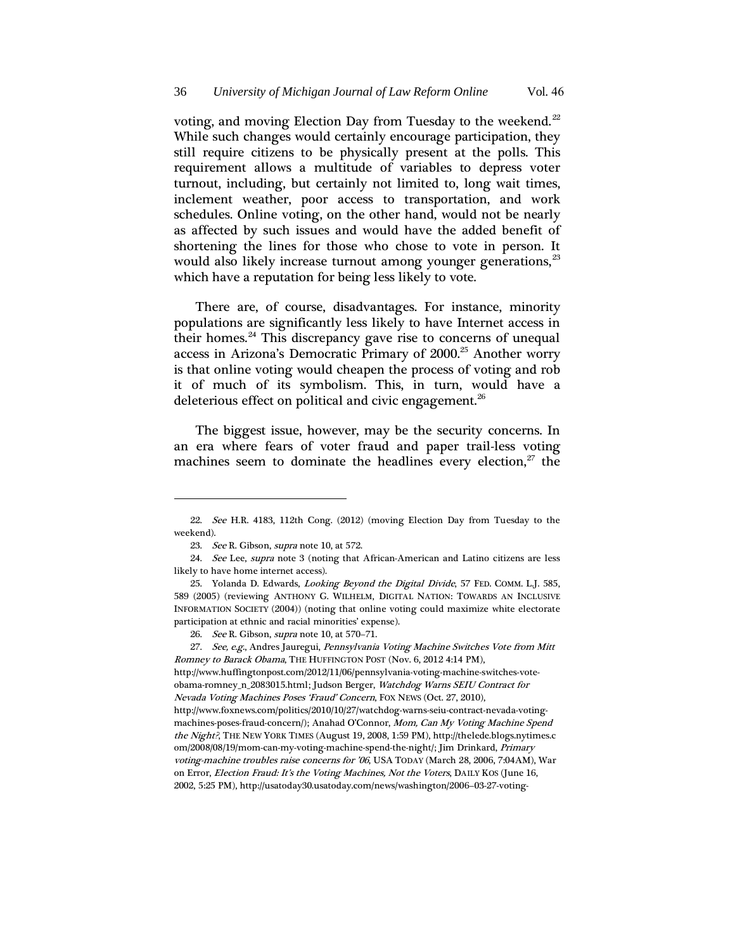voting, and moving Election Day from Tuesday to the weekend.<sup>[22](#page-4-0)</sup> While such changes would certainly encourage participation, they still require citizens to be physically present at the polls. This requirement allows a multitude of variables to depress voter turnout, including, but certainly not limited to, long wait times, inclement weather, poor access to transportation, and work schedules. Online voting, on the other hand, would not be nearly as affected by such issues and would have the added benefit of shortening the lines for those who chose to vote in person. It would also likely increase turnout among younger generations,<sup>[23](#page-4-1)</sup> which have a reputation for being less likely to vote.

There are, of course, disadvantages. For instance, minority populations are significantly less likely to have Internet access in their homes.<sup>[24](#page-4-2)</sup> This discrepancy gave rise to concerns of unequal access in Arizona's Democratic Primary of 2000.<sup>[25](#page-4-3)</sup> Another worry is that online voting would cheapen the process of voting and rob it of much of its symbolism. This, in turn, would have a deleterious effect on political and civic engagement.<sup>[26](#page-4-4)</sup>

The biggest issue, however, may be the security concerns. In an era where fears of voter fraud and paper trail-less voting machines seem to dominate the headlines every election, $2^{\gamma}$  the

<span id="page-4-0"></span><sup>22.</sup> See H.R. 4183, 112th Cong. (2012) (moving Election Day from Tuesday to the weekend).

<sup>23.</sup> See R. Gibson, supra note 10, at 572.

<span id="page-4-2"></span><span id="page-4-1"></span><sup>24.</sup> See Lee, supra note 3 (noting that African-American and Latino citizens are less likely to have home internet access).

<span id="page-4-3"></span><sup>25.</sup> Yolanda D. Edwards, Looking Beyond the Digital Divide, 57 FED. COMM. L.J. 585, 589 (2005) (reviewing ANTHONY G. WILHELM, DIGITAL NATION: TOWARDS AN INCLUSIVE INFORMATION SOCIETY (2004)) (noting that online voting could maximize white electorate participation at ethnic and racial minorities' expense).

<sup>26.</sup> See R. Gibson, supra note 10, at 570–71.

<span id="page-4-5"></span><span id="page-4-4"></span><sup>27.</sup> See, e.g., Andres Jauregui, Pennsylvania Voting Machine Switches Vote from Mitt Romney to Barack Obama, THE HUFFINGTON POST (Nov. 6, 2012 4:14 PM), http://www.huffingtonpost.com/2012/11/06/pennsylvania-voting-machine-switches-vote-

obama-romney\_n\_2083015.html; Judson Berger, Watchdog Warns SEIU Contract for Nevada Voting Machines Poses 'Fraud' Concern, FOX NEWS (Oct. 27, 2010), http://www.foxnews.com/politics/2010/10/27/watchdog-warns-seiu-contract-nevada-votingmachines-poses-fraud-concern/); Anahad O'Connor, Mom, Can My Voting Machine Spend the Night?, THE NEW YORK TIMES (August 19, 2008, 1:59 PM), http://thelede.blogs.nytimes.c

om/2008/08/19/mom-can-my-voting-machine-spend-the-night/; Jim Drinkard, Primary voting-machine troubles raise concerns for '06, USA TODAY (March 28, 2006, 7:04AM), War on Error, Election Fraud: It's the Voting Machines, Not the Voters, DAILY KOS (June 16, 2002, 5:25 PM), http://usatoday30.usatoday.com/news/washington/2006–03-27-voting-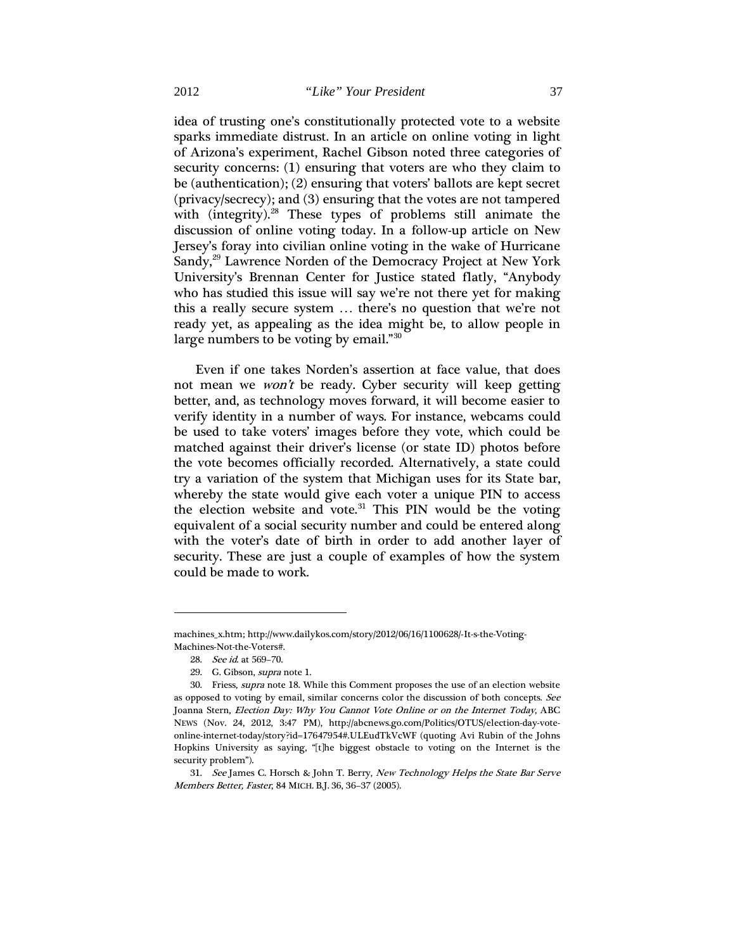idea of trusting one's constitutionally protected vote to a website sparks immediate distrust. In an article on online voting in light of Arizona's experiment, Rachel Gibson noted three categories of security concerns: (1) ensuring that voters are who they claim to be (authentication); (2) ensuring that voters' ballots are kept secret (privacy/secrecy); and (3) ensuring that the votes are not tampered with (integrity).<sup>[28](#page-5-0)</sup> These types of problems still animate the discussion of online voting today. In a follow-up article on New Jersey's foray into civilian online voting in the wake of Hurricane Sandy,<sup>[29](#page-5-1)</sup> Lawrence Norden of the Democracy Project at New York University's Brennan Center for Justice stated flatly, "Anybody who has studied this issue will say we're not there yet for making this a really secure system … there's no question that we're not ready yet, as appealing as the idea might be, to allow people in large numbers to be voting by email."<sup>[30](#page-5-2)</sup>

Even if one takes Norden's assertion at face value, that does not mean we *won't* be ready. Cyber security will keep getting better, and, as technology moves forward, it will become easier to verify identity in a number of ways. For instance, webcams could be used to take voters' images before they vote, which could be matched against their driver's license (or state ID) photos before the vote becomes officially recorded. Alternatively, a state could try a variation of the system that Michigan uses for its State bar, whereby the state would give each voter a unique PIN to access the election website and vote.<sup>[31](#page-5-3)</sup> This PIN would be the voting equivalent of a social security number and could be entered along with the voter's date of birth in order to add another layer of security. These are just a couple of examples of how the system could be made to work.

<span id="page-5-0"></span>machines\_x.htm; http://www.dailykos.com/story/2012/06/16/1100628/-It-s-the-Voting-Machines-Not-the-Voters#.

<sup>28.</sup> See id. at 569–70.

<sup>29.</sup> G. Gibson, supra note 1.

<span id="page-5-2"></span><span id="page-5-1"></span><sup>30.</sup> Friess, supra note 18. While this Comment proposes the use of an election website as opposed to voting by email, similar concerns color the discussion of both concepts. See Joanna Stern, Election Day: Why You Cannot Vote Online or on the Internet Today, ABC NEWS (Nov. 24, 2012, 3:47 PM), http://abcnews.go.com/Politics/OTUS/election-day-voteonline-internet-today/story?id=17647954#.ULEudTkVcWF (quoting Avi Rubin of the Johns Hopkins University as saying, "[t]he biggest obstacle to voting on the Internet is the security problem").

<span id="page-5-3"></span><sup>31.</sup> See James C. Horsch & John T. Berry, New Technology Helps the State Bar Serve Members Better, Faster, 84 MICH. B.J. 36, 36–37 (2005).